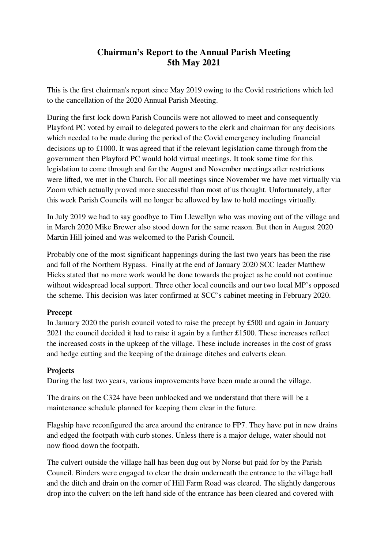# **Chairman's Report to the Annual Parish Meeting 5th May 2021**

This is the first chairman's report since May 2019 owing to the Covid restrictions which led to the cancellation of the 2020 Annual Parish Meeting.

During the first lock down Parish Councils were not allowed to meet and consequently Playford PC voted by email to delegated powers to the clerk and chairman for any decisions which needed to be made during the period of the Covid emergency including financial decisions up to £1000. It was agreed that if the relevant legislation came through from the government then Playford PC would hold virtual meetings. It took some time for this legislation to come through and for the August and November meetings after restrictions were lifted, we met in the Church. For all meetings since November we have met virtually via Zoom which actually proved more successful than most of us thought. Unfortunately, after this week Parish Councils will no longer be allowed by law to hold meetings virtually.

In July 2019 we had to say goodbye to Tim Llewellyn who was moving out of the village and in March 2020 Mike Brewer also stood down for the same reason. But then in August 2020 Martin Hill joined and was welcomed to the Parish Council.

Probably one of the most significant happenings during the last two years has been the rise and fall of the Northern Bypass. Finally at the end of January 2020 SCC leader Matthew Hicks stated that no more work would be done towards the project as he could not continue without widespread local support. Three other local councils and our two local MP's opposed the scheme. This decision was later confirmed at SCC's cabinet meeting in February 2020.

### **Precept**

In January 2020 the parish council voted to raise the precept by £500 and again in January 2021 the council decided it had to raise it again by a further £1500. These increases reflect the increased costs in the upkeep of the village. These include increases in the cost of grass and hedge cutting and the keeping of the drainage ditches and culverts clean.

### **Projects**

During the last two years, various improvements have been made around the village.

The drains on the C324 have been unblocked and we understand that there will be a maintenance schedule planned for keeping them clear in the future.

Flagship have reconfigured the area around the entrance to FP7. They have put in new drains and edged the footpath with curb stones. Unless there is a major deluge, water should not now flood down the footpath.

The culvert outside the village hall has been dug out by Norse but paid for by the Parish Council. Binders were engaged to clear the drain underneath the entrance to the village hall and the ditch and drain on the corner of Hill Farm Road was cleared. The slightly dangerous drop into the culvert on the left hand side of the entrance has been cleared and covered with